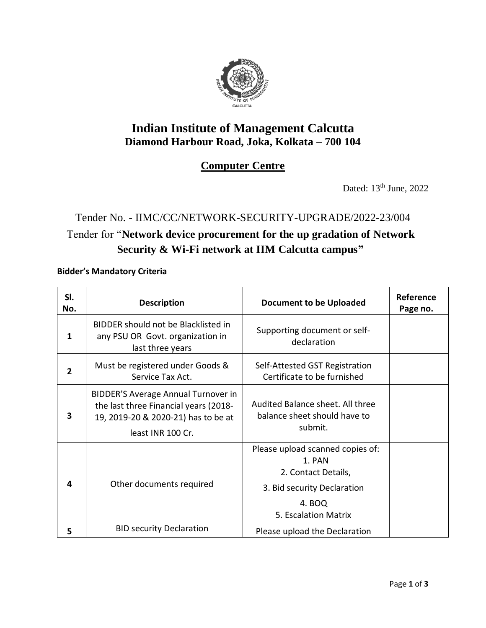

## **Indian Institute of Management Calcutta Diamond Harbour Road, Joka, Kolkata – 700 104**

### **Computer Centre**

Dated: 13<sup>th</sup> June, 2022

# Tender No. - IIMC/CC/NETWORK-SECURITY-UPGRADE/2022-23/004 Tender for "**Network device procurement for the up gradation of Network Security & Wi-Fi network at IIM Calcutta campus"**

**Bidder's Mandatory Criteria**

| SI.<br>No.     | <b>Description</b>                                                                                                                       | <b>Document to be Uploaded</b>                                                                                                     | Reference<br>Page no. |
|----------------|------------------------------------------------------------------------------------------------------------------------------------------|------------------------------------------------------------------------------------------------------------------------------------|-----------------------|
| 1              | BIDDER should not be Blacklisted in<br>any PSU OR Govt. organization in<br>last three years                                              | Supporting document or self-<br>declaration                                                                                        |                       |
| $\overline{2}$ | Must be registered under Goods &<br>Service Tax Act.                                                                                     | Self-Attested GST Registration<br>Certificate to be furnished                                                                      |                       |
| 3              | BIDDER'S Average Annual Turnover in<br>the last three Financial years (2018-<br>19, 2019-20 & 2020-21) has to be at<br>least INR 100 Cr. | Audited Balance sheet. All three<br>balance sheet should have to<br>submit.                                                        |                       |
| 4              | Other documents required                                                                                                                 | Please upload scanned copies of:<br>1. PAN<br>2. Contact Details,<br>3. Bid security Declaration<br>4. BOQ<br>5. Escalation Matrix |                       |
| 5              | <b>BID security Declaration</b>                                                                                                          | Please upload the Declaration                                                                                                      |                       |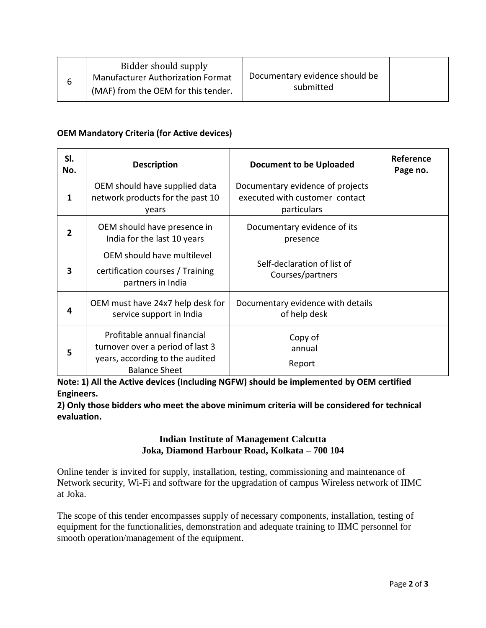| submitted<br>(MAF) from the OEM for this tender. |  | Bidder should supply<br><b>Manufacturer Authorization Format</b> | Documentary evidence should be |  |
|--------------------------------------------------|--|------------------------------------------------------------------|--------------------------------|--|
|--------------------------------------------------|--|------------------------------------------------------------------|--------------------------------|--|

#### **OEM Mandatory Criteria (for Active devices)**

| SI.<br>No. | <b>Description</b>                                                                                                         | <b>Document to be Uploaded</b>                                                    | <b>Reference</b><br>Page no. |
|------------|----------------------------------------------------------------------------------------------------------------------------|-----------------------------------------------------------------------------------|------------------------------|
| 1          | OEM should have supplied data<br>network products for the past 10<br>years                                                 | Documentary evidence of projects<br>executed with customer contact<br>particulars |                              |
| 2          | OEM should have presence in<br>India for the last 10 years                                                                 | Documentary evidence of its<br>presence                                           |                              |
| 3          | OEM should have multilevel<br>certification courses / Training<br>partners in India                                        | Self-declaration of list of<br>Courses/partners                                   |                              |
| 4          | OEM must have 24x7 help desk for<br>service support in India                                                               | Documentary evidence with details<br>of help desk                                 |                              |
| 5          | Profitable annual financial<br>turnover over a period of last 3<br>years, according to the audited<br><b>Balance Sheet</b> | Copy of<br>annual<br>Report                                                       |                              |

**Note: 1) All the Active devices (Including NGFW) should be implemented by OEM certified Engineers.** 

**2) Only those bidders who meet the above minimum criteria will be considered for technical evaluation.**

### **Indian Institute of Management Calcutta Joka, Diamond Harbour Road, Kolkata – 700 104**

Online tender is invited for supply, installation, testing, commissioning and maintenance of Network security, Wi-Fi and software for the upgradation of campus Wireless network of IIMC at Joka.

The scope of this tender encompasses supply of necessary components, installation, testing of equipment for the functionalities, demonstration and adequate training to IIMC personnel for smooth operation/management of the equipment.